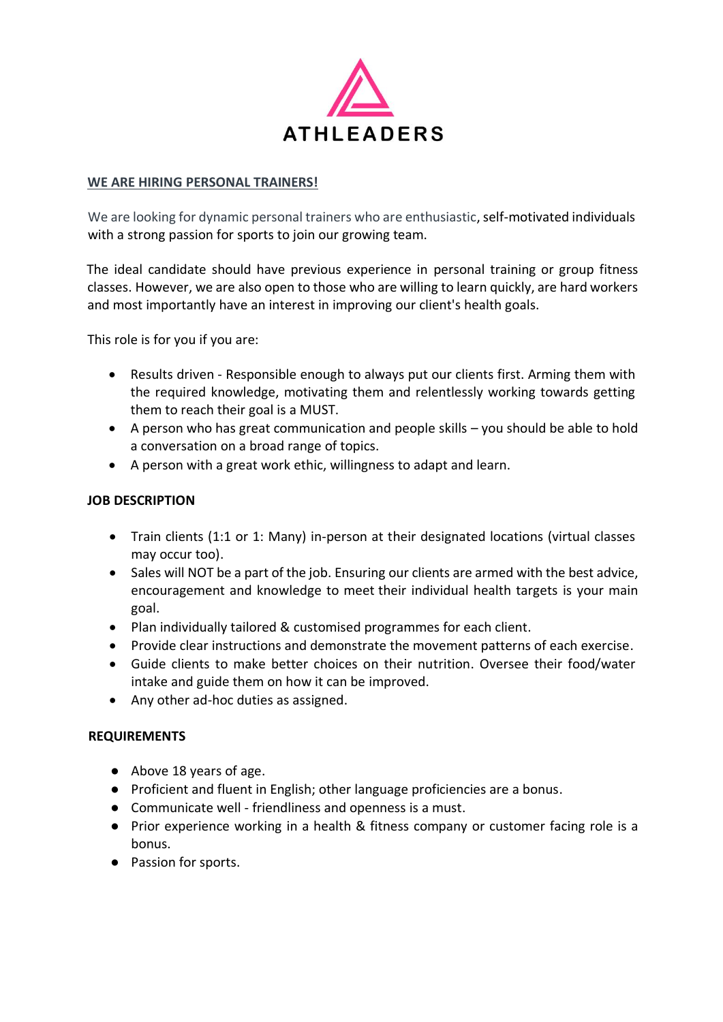

# **WE ARE HIRING PERSONAL TRAINERS!**

We are looking for dynamic personal trainers who are enthusiastic, self-motivated individuals with a strong passion for sports to join our growing team.

The ideal candidate should have previous experience in personal training or group fitness classes. However, we are also open to those who are willing to learn quickly, are hard workers and most importantly have an interest in improving our client's health goals.

This role is for you if you are:

- Results driven Responsible enough to always put our clients first. Arming them with the required knowledge, motivating them and relentlessly working towards getting them to reach their goal is a MUST.
- A person who has great communication and people skills you should be able to hold a conversation on a broad range of topics.
- A person with a great work ethic, willingness to adapt and learn.

# **JOB DESCRIPTION**

- Train clients (1:1 or 1: Many) in-person at their designated locations (virtual classes may occur too).
- Sales will NOT be a part of the job. Ensuring our clients are armed with the best advice, encouragement and knowledge to meet their individual health targets is your main goal.
- Plan individually tailored & customised programmes for each client.
- Provide clear instructions and demonstrate the movement patterns of each exercise.
- Guide clients to make better choices on their nutrition. Oversee their food/water intake and guide them on how it can be improved.
- Any other ad-hoc duties as assigned.

# **REQUIREMENTS**

- Above 18 years of age.
- Proficient and fluent in English; other language proficiencies are a bonus.
- Communicate well friendliness and openness is a must.
- Prior experience working in a health & fitness company or customer facing role is a bonus.
- Passion for sports.